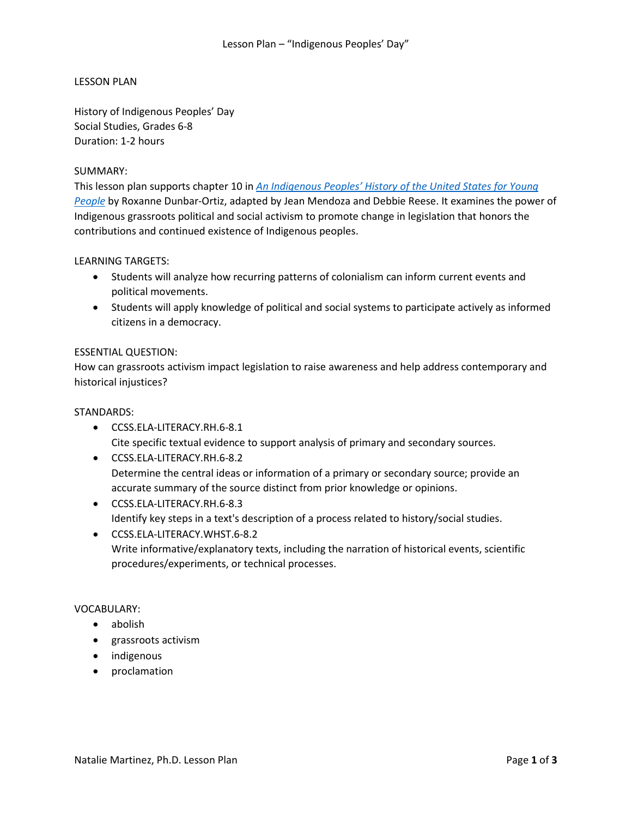# LESSON PLAN

History of Indigenous Peoples' Day Social Studies, Grades 6-8 Duration: 1-2 hours

# SUMMARY:

This lesson plan supports chapter 10 in *[An Indigenous Peoples' History of the United States for Young](http://www.beacon.org/An-Indigenous-Peoples-History-of-the-United-States-for-Young-People-P1492.aspx)  [People](http://www.beacon.org/An-Indigenous-Peoples-History-of-the-United-States-for-Young-People-P1492.aspx)* by Roxanne Dunbar-Ortiz, adapted by Jean Mendoza and Debbie Reese. It examines the power of Indigenous grassroots political and social activism to promote change in legislation that honors the contributions and continued existence of Indigenous peoples.

# LEARNING TARGETS:

- Students will analyze how recurring patterns of colonialism can inform current events and political movements.
- Students will apply knowledge of political and social systems to participate actively as informed citizens in a democracy.

# ESSENTIAL QUESTION:

How can grassroots activism impact legislation to raise awareness and help address contemporary and historical injustices?

## STANDARDS:

- CCSS.ELA-LITERACY.RH.6-8.1 Cite specific textual evidence to support analysis of primary and secondary sources.
- CCSS.ELA-LITERACY.RH.6-8.2 Determine the central ideas or information of a primary or secondary source; provide an accurate summary of the source distinct from prior knowledge or opinions.
- CCSS.ELA-LITERACY.RH.6-8.3 Identify key steps in a text's description of a process related to history/social studies.
- CCSS.ELA-LITERACY.WHST.6-8.2 Write informative/explanatory texts, including the narration of historical events, scientific procedures/experiments, or technical processes.

### VOCABULARY:

- abolish
- grassroots activism
- indigenous
- proclamation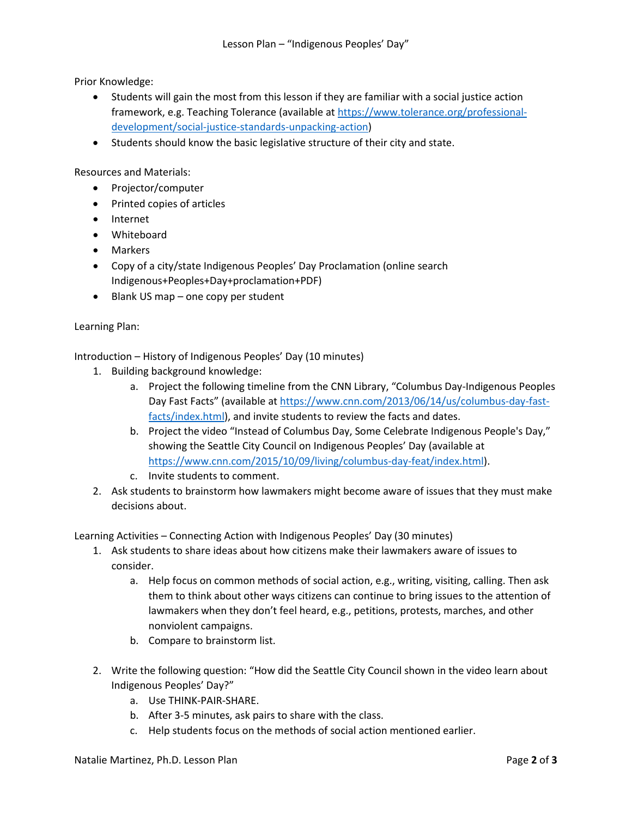Prior Knowledge:

- Students will gain the most from this lesson if they are familiar with a social justice action framework, e.g. Teaching Tolerance (available at [https://www.tolerance.org/professional](https://www.tolerance.org/professional-development/social-justice-standards-unpacking-action)[development/social-justice-standards-unpacking-action\)](https://www.tolerance.org/professional-development/social-justice-standards-unpacking-action)
- Students should know the basic legislative structure of their city and state.

Resources and Materials:

- Projector/computer
- Printed copies of articles
- Internet
- Whiteboard
- Markers
- Copy of a city/state Indigenous Peoples' Day Proclamation (online search Indigenous+Peoples+Day+proclamation+PDF)
- Blank US map one copy per student

# Learning Plan:

Introduction – History of Indigenous Peoples' Day (10 minutes)

- 1. Building background knowledge:
	- a. Project the following timeline from the CNN Library, "Columbus Day-Indigenous Peoples Day Fast Facts" (available at [https://www.cnn.com/2013/06/14/us/columbus-day-fast](https://www.cnn.com/2013/06/14/us/columbus-day-fast-facts/index.html)[facts/index.html\)](https://www.cnn.com/2013/06/14/us/columbus-day-fast-facts/index.html), and invite students to review the facts and dates.
	- b. Project the video "Instead of Columbus Day, Some Celebrate Indigenous People's Day," showing the Seattle City Council on Indigenous Peoples' Day (available at [https://www.cnn.com/2015/10/09/living/columbus-day-feat/index.html\)](https://www.cnn.com/2015/10/09/living/columbus-day-feat/index.html).
	- c. Invite students to comment.
- 2. Ask students to brainstorm how lawmakers might become aware of issues that they must make decisions about.

Learning Activities – Connecting Action with Indigenous Peoples' Day (30 minutes)

- 1. Ask students to share ideas about how citizens make their lawmakers aware of issues to consider.
	- a. Help focus on common methods of social action, e.g., writing, visiting, calling. Then ask them to think about other ways citizens can continue to bring issues to the attention of lawmakers when they don't feel heard, e.g., petitions, protests, marches, and other nonviolent campaigns.
	- b. Compare to brainstorm list.
- 2. Write the following question: "How did the Seattle City Council shown in the video learn about Indigenous Peoples' Day?"
	- a. Use THINK-PAIR-SHARE.
	- b. After 3-5 minutes, ask pairs to share with the class.
	- c. Help students focus on the methods of social action mentioned earlier.